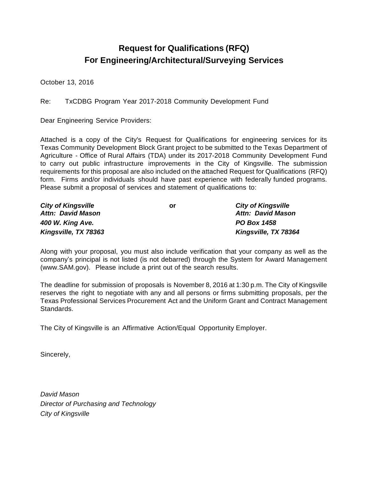## **Request for Qualifications (RFQ) For Engineering/Architectural/Surveying Services**

October 13, 2016

Re: TxCDBG Program Year 2017-2018 Community Development Fund

Dear Engineering Service Providers:

Attached is a copy of the City's Request for Qualifications for engineering services for its Texas Community Development Block Grant project to be submitted to the Texas Department of Agriculture - Office of Rural Affairs (TDA) under its 2017-2018 Community Development Fund to carry out public infrastructure improvements in the City of Kingsville. The submission requirements for this proposal are also included on the attached Request for Qualifications (RFQ) form. Firms and/or individuals should have past experience with federally funded programs. Please submit a proposal of services and statement of qualifications to:

| <b>City of Kingsville</b> | or | <b>City of Kingsville</b> |
|---------------------------|----|---------------------------|
| <b>Attn: David Mason</b>  |    | <b>Attn: David Mason</b>  |
| 400 W. King Ave.          |    | <b>PO Box 1458</b>        |
| Kingsville, TX 78363      |    | Kingsville, TX 78364      |

Along with your proposal, you must also include verification that your company as well as the company's principal is not listed (is not debarred) through the System for Award Management (www.SAM.gov). Please include a print out of the search results.

The deadline for submission of proposals is November 8, 2016 at 1:30 p.m. The City of Kingsville reserves the right to negotiate with any and all persons or firms submitting proposals, per the Texas Professional Services Procurement Act and the Uniform Grant and Contract Management Standards.

The City of Kingsville is an Affirmative Action/Equal Opportunity Employer.

Sincerely,

*David Mason Director of Purchasing and Technology City of Kingsville*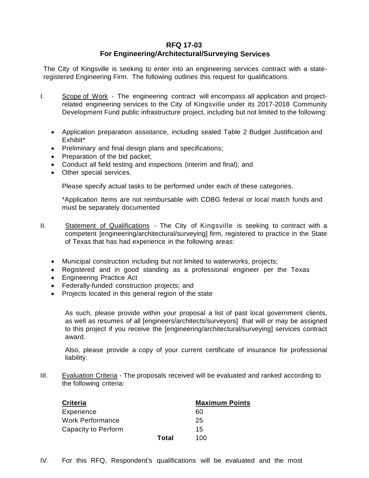## **RFQ 17-03**

## **For Engineering/Architectural/Surveying Services**

The City of Kingsville is seeking to enter into an engineering services contract with a stateregistered Engineering Firm. The following outlines this request for qualifications.

- I. Scope of Work The engineering contract will encompass all application and projectrelated engineering services to the City of Kingsville under its 2017-2018 Community Development Fund public infrastructure project, including but not limited to the following:
	- Application preparation assistance, including sealed Table 2 Budget Justification and Exhibit\*
	- Preliminary and final design plans and specifications;
	- Preparation of the bid packet;
	- Conduct all field testing and inspections (interim and final); and
	- Other special services.

Please specify actual tasks to be performed under each of these categories.

\*Application Items are not reimbursable with CDBG federal or local match funds and must be separately documented

- II. Statement of Qualifications The City of Kingsville is seeking to contract with a competent [engineering/architectural/surveying] firm, registered to practice in the State of Texas that has had experience in the following areas:
	- Municipal construction including but not limited to waterworks, projects;
	- Registered and in good standing as a professional engineer per the Texas
	- **Engineering Practice Act**
	- Federally-funded construction projects; and
	- Projects located in this general region of the state

As such, please provide within your proposal a list of past local government clients, as well as resumes of all [engineers/architects/surveyors] that will or may be assigned to this project if you receive the [engineering/architectural/surveying] services contract award.

Also, please provide a copy of your current certificate of insurance for professional liability.

III. Evaluation Criteria - The proposals received will be evaluated and ranked according to the following criteria:

| <b>Criteria</b>     |       | <b>Maximum Points</b> |
|---------------------|-------|-----------------------|
| Experience          |       | 60                    |
| Work Performance    |       | 25                    |
| Capacity to Perform |       | 15                    |
|                     | Total | 100                   |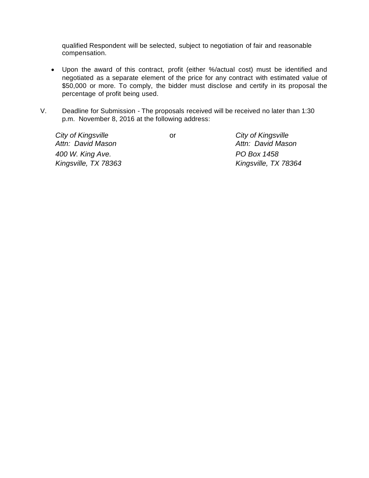qualified Respondent will be selected, subject to negotiation of fair and reasonable compensation.

- Upon the award of this contract, profit (either %/actual cost) must be identified and negotiated as a separate element of the price for any contract with estimated value of \$50,000 or more. To comply, the bidder must disclose and certify in its proposal the percentage of profit being used.
- V. Deadline for Submission The proposals received will be received no later than 1:30 p.m. November 8, 2016 at the following address:

*City of Kingsville* or *City of Kingsville 400 W. King Ave. PO Box 1458 Kingsville, TX 78363 Kingsville, TX 78364*

*Attn: David Mason Attn: David Mason*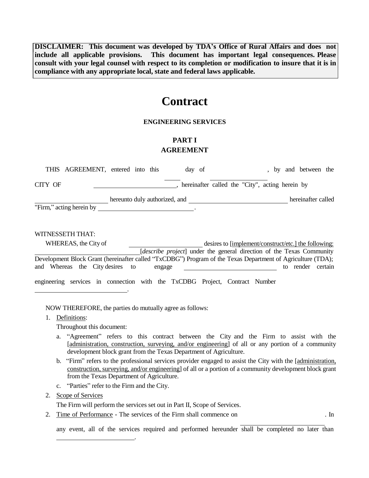**DISCLAIMER: This document was developed by TDA's Office of Rural Affairs and does not include all applicable provisions. This document has important legal consequences. Please consult with your legal counsel with respect to its completion or modification to insure that it is in compliance with any appropriate local, state and federal laws applicable.**

# **Contract**

## **ENGINEERING SERVICES**

## **PART I AGREEMENT**

| THIS AGREEMENT, entered into this                                           |                                                                                                                      | day of                                          | and between the<br>by                                                                                       |
|-----------------------------------------------------------------------------|----------------------------------------------------------------------------------------------------------------------|-------------------------------------------------|-------------------------------------------------------------------------------------------------------------|
| <b>CITY OF</b>                                                              |                                                                                                                      | hereinafter called the "City", acting herein by |                                                                                                             |
|                                                                             | hereunto duly authorized, and                                                                                        |                                                 | hereinafter called                                                                                          |
| "Firm," acting herein by                                                    | <u> 1980 - Jan Stein Stein Stein Stein Stein Stein Stein Stein Stein Stein Stein Stein Stein Stein Stein Stein S</u> |                                                 |                                                                                                             |
|                                                                             |                                                                                                                      |                                                 |                                                                                                             |
| WITNESSETH THAT:                                                            |                                                                                                                      |                                                 |                                                                                                             |
| WHEREAS, the City of                                                        |                                                                                                                      |                                                 | desires to [implement/construct/etc.] the following:                                                        |
|                                                                             |                                                                                                                      |                                                 | [describe project] under the general direction of the Texas Community                                       |
|                                                                             |                                                                                                                      |                                                 | Development Block Grant (hereinafter called "TxCDBG") Program of the Texas Department of Agriculture (TDA); |
| and Whereas the City desires to                                             | engage                                                                                                               |                                                 | render<br>certain<br>to                                                                                     |
| engineering services in connection with the TxCDBG Project, Contract Number |                                                                                                                      |                                                 |                                                                                                             |

NOW THEREFORE, the parties do mutually agree as follows:

.

1. Definitions:

Throughout this document:

- a. "Agreement" refers to this contract between the City and the Firm to assist with the [administration, construction, surveying, and/or engineering] of all or any portion of a community development block grant from the Texas Department of Agriculture.
- b. "Firm" refers to the professional services provider engaged to assist the City with the [administration, construction, surveying, and/or engineering] of all or a portion of a community development block grant from the Texas Department of Agriculture.
- c. "Parties" refer to the Firm and the City.

## 2. Scope of Services

The Firm will perform the services set out in Part II, Scope of Services.

.

2. Time of Performance - The services of the Firm shall commence on . In

any event, all of the services required and performed hereunder shall be completed no later than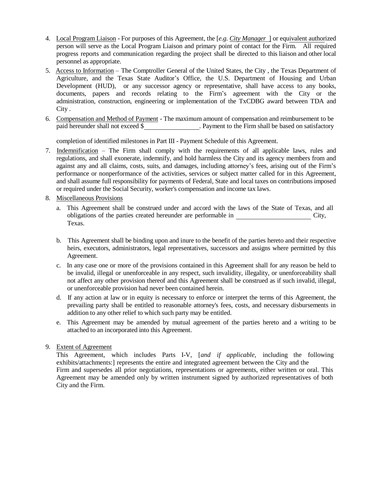- 4. Local Program Liaison For purposes of this Agreement, the [*e.g. City Manager* ] or equivalent authorized person will serve as the Local Program Liaison and primary point of contact for the Firm. All required progress reports and communication regarding the project shall be directed to this liaison and other local personnel as appropriate.
- 5. Access to Information The Comptroller General of the United States, the City , the Texas Department of Agriculture, and the Texas State Auditor's Office, the U.S. Department of Housing and Urban Development (HUD), or any successor agency or representative, shall have access to any books, documents, papers and records relating to the Firm's agreement with the City or the administration, construction, engineering or implementation of the TxCDBG award between TDA and City .
- 6. Compensation and Method of Payment The maximum amount of compensation and reimbursement to be paid hereunder shall not exceed \$ . Payment to the Firm shall be based on satisfactory

completion of identified milestones in Part III - Payment Schedule of this Agreement.

- 7. Indemnification The Firm shall comply with the requirements of all applicable laws, rules and regulations, and shall exonerate, indemnify, and hold harmless the City and its agency members from and against any and all claims, costs, suits, and damages, including attorney's fees, arising out of the Firm's performance or nonperformance of the activities, services or subject matter called for in this Agreement, and shall assume full responsibility for payments of Federal, State and local taxes on contributions imposed or required under the Social Security, worker's compensation and income tax laws.
- 8. Miscellaneous Provisions
	- a. This Agreement shall be construed under and accord with the laws of the State of Texas, and all obligations of the parties created hereunder are performable in City, Texas.
	- b. This Agreement shall be binding upon and inure to the benefit of the parties hereto and their respective heirs, executors, administrators, legal representatives, successors and assigns where permitted by this Agreement.
	- c. In any case one or more of the provisions contained in this Agreement shall for any reason be held to be invalid, illegal or unenforceable in any respect, such invalidity, illegality, or unenforceability shall not affect any other provision thereof and this Agreement shall be construed as if such invalid, illegal, or unenforceable provision had never been contained herein.
	- d. If any action at law or in equity is necessary to enforce or interpret the terms of this Agreement, the prevailing party shall be entitled to reasonable attorney's fees, costs, and necessary disbursements in addition to any other relief to which such party may be entitled.
	- e. This Agreement may be amended by mutual agreement of the parties hereto and a writing to be attached to an incorporated into this Agreement.

## 9. Extent of Agreement

This Agreement, which includes Parts I-V, [*and if applicable,* including the following exhibits/attachments:] represents the entire and integrated agreement between the City and the Firm and supersedes all prior negotiations, representations or agreements, either written or oral. This Agreement may be amended only by written instrument signed by authorized representatives of both City and the Firm.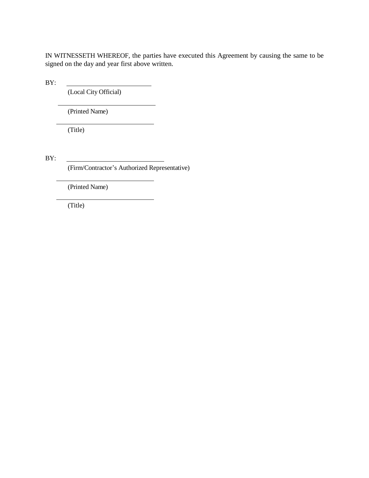IN WITNESSETH WHEREOF, the parties have executed this Agreement by causing the same to be signed on the day and year first above written.

BY:

(Local City Official)

(Printed Name)

(Title)

BY:

(Firm/Contractor's Authorized Representative)

(Printed Name)

(Title)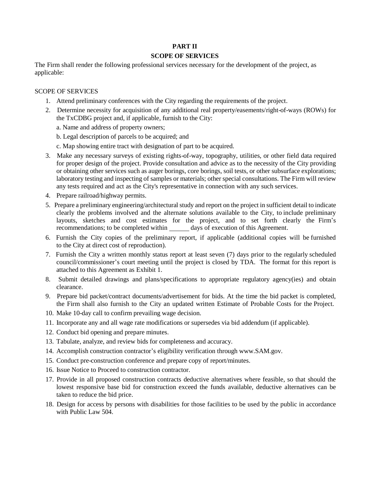## **PART II**

## **SCOPE OF SERVICES**

The Firm shall render the following professional services necessary for the development of the project, as applicable:

#### SCOPE OF SERVICES

- 1. Attend preliminary conferences with the City regarding the requirements of the project.
- 2. Determine necessity for acquisition of any additional real property/easements/right-of-ways (ROWs) for the TxCDBG project and, if applicable, furnish to the City:

a. Name and address of property owners;

b. Legal description of parcels to be acquired; and

- c. Map showing entire tract with designation of part to be acquired.
- 3. Make any necessary surveys of existing rights-of-way, topography, utilities, or other field data required for proper design of the project. Provide consultation and advice as to the necessity of the City providing or obtaining other services such as auger borings, core borings, soil tests, or other subsurface explorations; laboratory testing and inspecting of samples or materials; other special consultations. The Firm will review any tests required and act as the City's representative in connection with any such services.
- 4. Prepare railroad/highway permits.
- 5. Prepare a preliminary engineering/architectural study and report on the project in sufficient detail to indicate clearly the problems involved and the alternate solutions available to the City, to include preliminary layouts, sketches and cost estimates for the project, and to set forth clearly the Firm's recommendations; to be completed within days of execution of this Agreement.
- 6. Furnish the City copies of the preliminary report, if applicable (additional copies will be furnished to the City at direct cost of reproduction).
- 7. Furnish the City a written monthly status report at least seven (7) days prior to the regularly scheduled council/commissioner's court meeting until the project is closed by TDA. The format for this report is attached to this Agreement as Exhibit 1.
- 8. Submit detailed drawings and plans/specifications to appropriate regulatory agency(ies) and obtain clearance.
- 9. Prepare bid packet/contract documents/advertisement for bids. At the time the bid packet is completed, the Firm shall also furnish to the City an updated written Estimate of Probable Costs for the Project.
- 10. Make 10-day call to confirm prevailing wage decision.
- 11. Incorporate any and all wage rate modifications or supersedes via bid addendum (if applicable).
- 12. Conduct bid opening and prepare minutes.
- 13. Tabulate, analyze, and review bids for completeness and accuracy.
- 14. Accomplish construction contractor's eligibility verification throu[gh www.SAM.gov.](http://www.sam.gov/)
- 15. Conduct pre-construction conference and prepare copy of report/minutes.
- 16. Issue Notice to Proceed to construction contractor.
- 17. Provide in all proposed construction contracts deductive alternatives where feasible, so that should the lowest responsive base bid for construction exceed the funds available, deductive alternatives can be taken to reduce the bid price.
- 18. Design for access by persons with disabilities for those facilities to be used by the public in accordance with Public Law 504.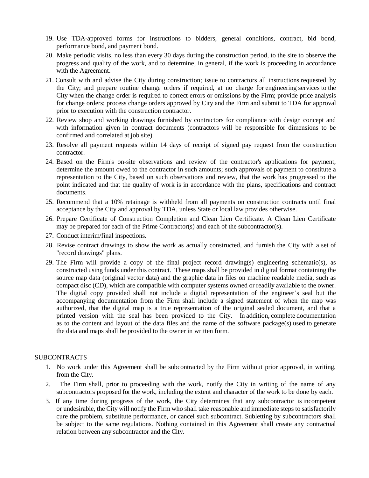- 19. Use TDA-approved forms for instructions to bidders, general conditions, contract, bid bond, performance bond, and payment bond.
- 20. Make periodic visits, no less than every 30 days during the construction period, to the site to observe the progress and quality of the work, and to determine, in general, if the work is proceeding in accordance with the Agreement.
- 21. Consult with and advise the City during construction; issue to contractors all instructions requested by the City; and prepare routine change orders if required, at no charge for engineering services to the City when the change order is required to correct errors or omissions by the Firm; provide price analysis for change orders; process change orders approved by City and the Firm and submit to TDA for approval prior to execution with the construction contractor.
- 22. Review shop and working drawings furnished by contractors for compliance with design concept and with information given in contract documents (contractors will be responsible for dimensions to be confirmed and correlated at job site).
- 23. Resolve all payment requests within 14 days of receipt of signed pay request from the construction contractor.
- 24. Based on the Firm's on-site observations and review of the contractor's applications for payment, determine the amount owed to the contractor in such amounts; such approvals of payment to constitute a representation to the City, based on such observations and review, that the work has progressed to the point indicated and that the quality of work is in accordance with the plans, specifications and contract documents.
- 25. Recommend that a 10% retainage is withheld from all payments on construction contracts until final acceptance by the City and approval by TDA, unless State or local law provides otherwise.
- 26. Prepare Certificate of Construction Completion and Clean Lien Certificate. A Clean Lien Certificate may be prepared for each of the Prime Contractor(s) and each of the subcontractor(s).
- 27. Conduct interim/final inspections.
- 28. Revise contract drawings to show the work as actually constructed, and furnish the City with a set of "record drawings" plans.
- 29. The Firm will provide a copy of the final project record drawing(s) engineering schematic(s), as constructed using funds under this contract. These maps shall be provided in digital format containing the source map data (original vector data) and the graphic data in files on machine readable media, such as compact disc (CD), which are compatible with computer systems owned or readily available to the owner. The digital copy provided shall not include a digital representation of the engineer's seal but the accompanying documentation from the Firm shall include a signed statement of when the map was authorized, that the digital map is a true representation of the original sealed document, and that a printed version with the seal has been provided to the City. In addition, complete documentation as to the content and layout of the data files and the name of the software package(s) used to generate the data and maps shall be provided to the owner in written form.

## SUBCONTRACTS

- 1. No work under this Agreement shall be subcontracted by the Firm without prior approval, in writing, from the City.
- 2. The Firm shall, prior to proceeding with the work, notify the City in writing of the name of any subcontractors proposed for the work, including the extent and character of the work to be done by each.
- 3. If any time during progress of the work, the City determines that any subcontractor is incompetent or undesirable, the City will notify the Firm who shall take reasonable and immediate steps to satisfactorily cure the problem, substitute performance, or cancel such subcontract. Subletting by subcontractors shall be subject to the same regulations. Nothing contained in this Agreement shall create any contractual relation between any subcontractor and the City.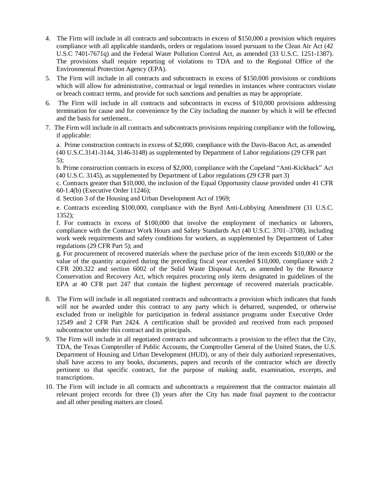- 4. The Firm will include in all contracts and subcontracts in excess of \$150,000 a provision which requires compliance with all applicable standards, orders or regulations issued pursuant to the Clean Air Act (42 U.S.C 7401-7671q) and the Federal Water Pollution Control Act, as amended (33 U.S.C. 1251-1387). The provisions shall require reporting of violations to TDA and to the Regional Office of the Environmental Protection Agency (EPA).
- 5. The Firm will include in all contracts and subcontracts in excess of \$150,000 provisions or conditions which will allow for administrative, contractual or legal remedies in instances where contractors violate or breach contract terms, and provide for such sanctions and penalties as may be appropriate.
- 6. The Firm will include in all contracts and subcontracts in excess of \$10,000 provisions addressing termination for cause and for convenience by the City including the manner by which it will be effected and the basis for settlement..
- 7. The Firm will include in all contracts and subcontracts provisions requiring compliance with the following, if applicable:

a. Prime construction contracts in excess of \$2,000, compliance with the Davis-Bacon Act, as amended (40 U.S.C.3141-3144, 3146-3148) as supplemented by Department of Labor regulations (29 CFR part 5);

b. Prime construction contracts in excess of \$2,000, compliance with the Copeland "Anti-Kickback" Act (40 U.S.C. 3145), as supplemented by Department of Labor regulations (29 CFR part 3)

c. Contracts greater than \$10,000, the inclusion of the Equal Opportunity clause provided under 41 CFR 60-1.4(b) (Executive Order 11246);

d. Section 3 of the Housing and Urban Development Act of 1969;

e. Contracts exceeding \$100,000, compliance with the Byrd Anti-Lobbying Amendment (31 U.S.C. 1352);

f. For contracts in excess of \$100,000 that involve the employment of mechanics or laborers, compliance with the Contract Work Hours and Safety Standards Act (40 U.S.C. 3701–3708), including work week requirements and safety conditions for workers, as supplemented by Department of Labor regulations (29 CFR Part 5); and

g. For procurement of recovered materials where the purchase price of the item exceeds \$10,000 or the value of the quantity acquired during the preceding fiscal year exceeded \$10,000, compliance with 2 CFR 200.322 and section 6002 of the Solid Waste Disposal Act, as amended by the Resource Conservation and Recovery Act, which requires procuring only items designated in guidelines of the EPA at 40 CFR part 247 that contain the highest percentage of recovered materials practicable.

- 8. The Firm will include in all negotiated contracts and subcontracts a provision which indicates that funds will not be awarded under this contract to any party which is debarred, suspended, or otherwise excluded from or ineligible for participation in federal assistance programs under Executive Order 12549 and 2 CFR Part 2424. A certification shall be provided and received from each proposed subcontractor under this contract and its principals.
- 9. The Firm will include in all negotiated contracts and subcontracts a provision to the effect that the City, TDA, the Texas Comptroller of Public Accounts, the Comptroller General of the United States, the U.S. Department of Housing and Urban Development (HUD), or any of their duly authorized representatives, shall have access to any books, documents, papers and records of the contractor which are directly pertinent to that specific contract, for the purpose of making audit, examination, excerpts, and transcriptions.
- 10. The Firm will include in all contracts and subcontracts a requirement that the contractor maintain all relevant project records for three (3) years after the City has made final payment to the contractor and all other pending matters are closed.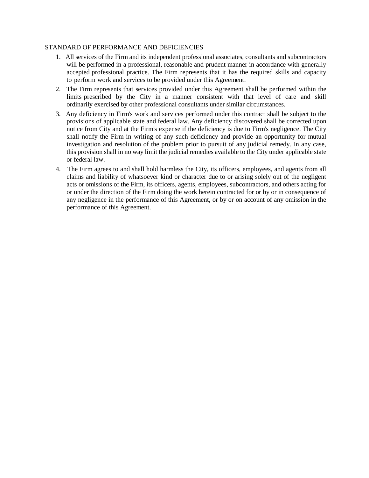### STANDARD OF PERFORMANCE AND DEFICIENCIES

- 1. All services of the Firm and its independent professional associates, consultants and subcontractors will be performed in a professional, reasonable and prudent manner in accordance with generally accepted professional practice. The Firm represents that it has the required skills and capacity to perform work and services to be provided under this Agreement.
- 2. The Firm represents that services provided under this Agreement shall be performed within the limits prescribed by the City in a manner consistent with that level of care and skill ordinarily exercised by other professional consultants under similar circumstances.
- 3. Any deficiency in Firm's work and services performed under this contract shall be subject to the provisions of applicable state and federal law. Any deficiency discovered shall be corrected upon notice from City and at the Firm's expense if the deficiency is due to Firm's negligence. The City shall notify the Firm in writing of any such deficiency and provide an opportunity for mutual investigation and resolution of the problem prior to pursuit of any judicial remedy. In any case, this provision shall in no way limit the judicial remedies available to the City under applicable state or federal law.
- 4. The Firm agrees to and shall hold harmless the City, its officers, employees, and agents from all claims and liability of whatsoever kind or character due to or arising solely out of the negligent acts or omissions of the Firm, its officers, agents, employees, subcontractors, and others acting for or under the direction of the Firm doing the work herein contracted for or by or in consequence of any negligence in the performance of this Agreement, or by or on account of any omission in the performance of this Agreement.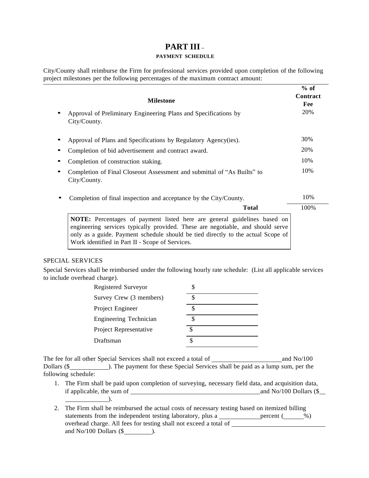## **PART III –**

## **PAYMENT SCHEDULE**

City/County shall reimburse the Firm for professional services provided upon completion of the following project milestones per the following percentages of the maximum contract amount:

| <b>Milestone</b>                                                                                                                                                                                                                                                                                          | $%$ of<br>Contract<br>Fee |
|-----------------------------------------------------------------------------------------------------------------------------------------------------------------------------------------------------------------------------------------------------------------------------------------------------------|---------------------------|
| Approval of Preliminary Engineering Plans and Specifications by<br>City/County.                                                                                                                                                                                                                           | 20%                       |
| Approval of Plans and Specifications by Regulatory Agency(ies).                                                                                                                                                                                                                                           | 30%                       |
| Completion of bid advertisement and contract award.                                                                                                                                                                                                                                                       | 20%                       |
| Completion of construction staking.                                                                                                                                                                                                                                                                       | 10%                       |
| Completion of Final Closeout Assessment and submittal of "As Builts" to<br>City/County.                                                                                                                                                                                                                   | 10%                       |
| Completion of final inspection and acceptance by the City/County.                                                                                                                                                                                                                                         | 10%                       |
| <b>Total</b>                                                                                                                                                                                                                                                                                              | 100%                      |
| <b>NOTE:</b> Percentages of payment listed here are general guidelines based on<br>engineering services typically provided. These are negotiable, and should serve<br>only as a guide. Payment schedule should be tied directly to the actual Scope of<br>Work identified in Part II - Scope of Services. |                           |

## SPECIAL SERVICES

Special Services shall be reimbursed under the following hourly rate schedule: (List all applicable services to include overhead charge).

| Registered Surveyor     |  |
|-------------------------|--|
| Survey Crew (3 members) |  |
| Project Engineer        |  |
| Engineering Technician  |  |
| Project Representative  |  |
| Draftsman               |  |

The fee for all other Special Services shall not exceed a total of and No/100 Dollars (\$ following schedule:

- 1. The Firm shall be paid upon completion of surveying, necessary field data, and acquisition data, if applicable, the sum of  $\frac{1}{\sqrt{2\pi}}$  and No/100 Dollars (\$  $\qquad \qquad$
- 2. The Firm shall be reimbursed the actual costs of necessary testing based on itemized billing statements from the independent testing laboratory, plus a <u>percent</u> ( $\frac{\%}{\%}$ ) overhead charge. All fees for testing shall not exceed a total of and  $No/100$  Dollars  $(\$$   $)$ .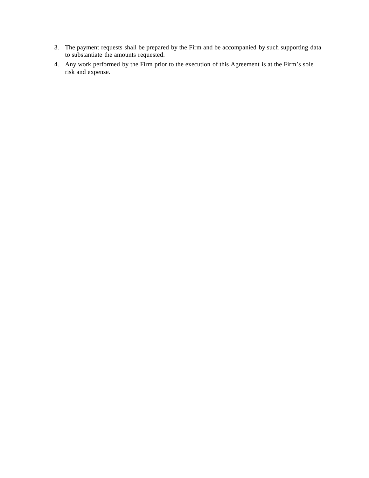- 3. The payment requests shall be prepared by the Firm and be accompanied by such supporting data to substantiate the amounts requested.
- 4. Any work performed by the Firm prior to the execution of this Agreement is at the Firm's sole risk and expense.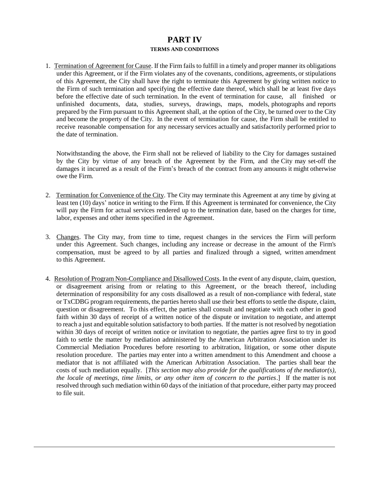## **PART IV TERMS AND CONDITIONS**

1. Termination of Agreement for Cause. If the Firm fails to fulfill in a timely and proper manner its obligations under this Agreement, or if the Firm violates any of the covenants, conditions, agreements, or stipulations of this Agreement, the City shall have the right to terminate this Agreement by giving written notice to the Firm of such termination and specifying the effective date thereof, which shall be at least five days before the effective date of such termination. In the event of termination for cause, all finished or unfinished documents, data, studies, surveys, drawings, maps, models, photographs and reports prepared by the Firm pursuant to this Agreement shall, at the option of the City, be turned over to the City and become the property of the City. In the event of termination for cause, the Firm shall be entitled to receive reasonable compensation for any necessary services actually and satisfactorily performed prior to the date of termination.

Notwithstanding the above, the Firm shall not be relieved of liability to the City for damages sustained by the City by virtue of any breach of the Agreement by the Firm, and the City may set-off the damages it incurred as a result of the Firm's breach of the contract from any amounts it might otherwise owe the Firm.

- 2. Termination for Convenience of the City. The City may terminate this Agreement at any time by giving at least ten (10) days' notice in writing to the Firm. If this Agreement is terminated for convenience, the City will pay the Firm for actual services rendered up to the termination date, based on the charges for time, labor, expenses and other items specified in the Agreement.
- 3. Changes. The City may, from time to time, request changes in the services the Firm will perform under this Agreement. Such changes, including any increase or decrease in the amount of the Firm's compensation, must be agreed to by all parties and finalized through a signed, written amendment to this Agreement.
- 4. Resolution of Program Non-Compliance and Disallowed Costs. In the event of any dispute, claim, question, or disagreement arising from or relating to this Agreement, or the breach thereof, including determination of responsibility for any costs disallowed as a result of non-compliance with federal, state or TxCDBG program requirements, the parties hereto shall use their best efforts to settle the dispute, claim, question or disagreement. To this effect, the parties shall consult and negotiate with each other in good faith within 30 days of receipt of a written notice of the dispute or invitation to negotiate, and attempt to reach a just and equitable solution satisfactory to both parties. If the matter is not resolved by negotiation within 30 days of receipt of written notice or invitation to negotiate, the parties agree first to try in good faith to settle the matter by mediation administered by the American Arbitration Association under its Commercial Mediation Procedures before resorting to arbitration, litigation, or some other dispute resolution procedure. The parties may enter into a written amendment to this Amendment and choose a mediator that is not affiliated with the American Arbitration Association. The parties shall bear the costs of such mediation equally. [*This section may also provide for the qualifications of the mediator(s), the locale of meetings, time limits, or any other item of concern to the parties*.] If the matter is not resolved through such mediation within 60 days of the initiation of that procedure, either party may proceed to file suit.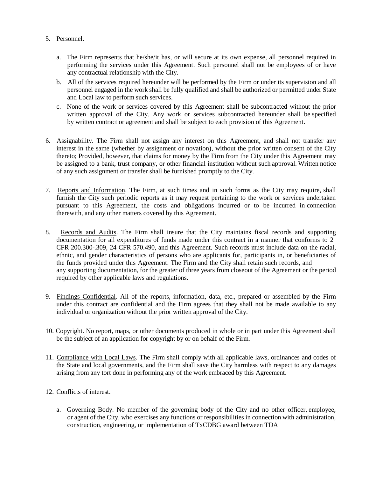## 5. Personnel.

- a. The Firm represents that he/she/it has, or will secure at its own expense, all personnel required in performing the services under this Agreement. Such personnel shall not be employees of or have any contractual relationship with the City.
- b. All of the services required hereunder will be performed by the Firm or under its supervision and all personnel engaged in the work shall be fully qualified and shall be authorized or permitted under State and Local law to perform such services.
- c. None of the work or services covered by this Agreement shall be subcontracted without the prior written approval of the City. Any work or services subcontracted hereunder shall be specified by written contract or agreement and shall be subject to each provision of this Agreement.
- 6. Assignability. The Firm shall not assign any interest on this Agreement, and shall not transfer any interest in the same (whether by assignment or novation), without the prior written consent of the City thereto; Provided, however, that claims for money by the Firm from the City under this Agreement may be assigned to a bank, trust company, or other financial institution without such approval. Written notice of any such assignment or transfer shall be furnished promptly to the City.
- 7. Reports and Information. The Firm, at such times and in such forms as the City may require, shall furnish the City such periodic reports as it may request pertaining to the work or services undertaken pursuant to this Agreement, the costs and obligations incurred or to be incurred in connection therewith, and any other matters covered by this Agreement.
- 8. Records and Audits. The Firm shall insure that the City maintains fiscal records and supporting documentation for all expenditures of funds made under this contract in a manner that conforms to 2 CFR 200.300-.309, 24 CFR 570.490, and this Agreement. Such records must include data on the racial, ethnic, and gender characteristics of persons who are applicants for, participants in, or beneficiaries of the funds provided under this Agreement. The Firm and the City shall retain such records, and any supporting documentation, for the greater of three years from closeout of the Agreement or the period required by other applicable laws and regulations.
- 9. Findings Confidential. All of the reports, information, data, etc., prepared or assembled by the Firm under this contract are confidential and the Firm agrees that they shall not be made available to any individual or organization without the prior written approval of the City.
- 10. Copyright. No report, maps, or other documents produced in whole or in part under this Agreement shall be the subject of an application for copyright by or on behalf of the Firm.
- 11. Compliance with Local Laws. The Firm shall comply with all applicable laws, ordinances and codes of the State and local governments, and the Firm shall save the City harmless with respect to any damages arising from any tort done in performing any of the work embraced by this Agreement.

## 12. Conflicts of interest.

a. Governing Body. No member of the governing body of the City and no other officer, employee, or agent of the City, who exercises any functions or responsibilities in connection with administration, construction, engineering, or implementation of TxCDBG award between TDA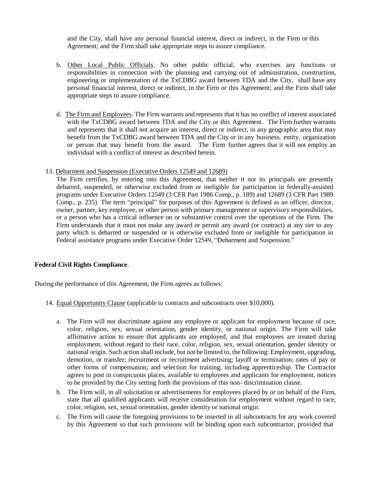and the City, shall have any personal financial interest, direct or indirect, in the Firm or this Agreement; and the Firm shall take appropriate steps to assure compliance.

- b. Other Local Public Officials. No other public official, who exercises any functions or responsibilities in connection with the planning and carrying out of administration, construction, engineering or implementation of the TxCDBG award between TDA and the City, shall have any personal financial interest, direct or indirect, in the Firm or this Agreement; and the Firm shall take appropriate steps to assure compliance.
- d. The Firm and Employees. The Firm warrants and represents that it has no conflict of interest associated with the TxCDBG award between TDA and the City or this Agreement. The Firm further warrants and represents that it shall not acquire an interest, direct or indirect, in any geographic area that may benefit from the TxCDBG award between TDA and the City or in any business, entity, organization or person that may benefit from the award. The Firm further agrees that it will not employ an individual with a conflict of interest as described herein.
- 13. Debarment and Suspension (Executive Orders 12549 and 12689)

The Firm certifies, by entering into this Agreement, that neither it nor its principals are presently debarred, suspended, or otherwise excluded from or ineligible for participation in federally-assisted programs under Executive Orders 12549 (3 CFR Part 1986 Comp., p. 189) and 12689 (3 CFR Part 1989 Comp., p. 235). The term "principal" for purposes of this Agreement is defined as an officer, director, owner, partner, key employee, or other person with primary management or supervisory responsibilities, or a person who has a critical influence on or substantive control over the operations of the Firm. The Firm understands that it must not make any award or permit any award (or contract) at any tier to any party which is debarred or suspended or is otherwise excluded from or ineligible for participation in Federal assistance programs under Executive Order 12549, "Debarment and Suspension."

#### **Federal Civil Rights Compliance**.

During the performance of this Agreement, the Firm agrees as follows:

- 14. Equal Opportunity Clause (applicable to contracts and subcontracts over \$10,000).
	- a. The Firm will not discriminate against any employee or applicant for employment because of race, color, religion, sex, sexual orientation, gender identity, or national origin. The Firm will take affirmative action to ensure that applicants are employed, and that employees are treated during employment, without regard to their race, color, religion, sex, sexual orientation, gender identity or national origin. Such action shall include, but not be limited to, the following: Employment, upgrading, demotion, or transfer; recruitment or recruitment advertising; layoff or termination; rates of pay or other forms of compensation; and selection for training, including apprenticeship. The Contractor agrees to post in conspicuous places, available to employees and applicants for employment, notices to be provided by the City setting forth the provisions of this non- discrimination clause.
	- b. The Firm will, in all solicitation or advertisements for employees placed by or on behalf of the Firm, state that all qualified applicants will receive consideration for employment without regard to race, color, religion, sex, sexual orientation, gender identity or national origin.
	- c. The Firm will cause the foregoing provisions to be inserted in all subcontracts for any work covered by this Agreement so that such provisions will be binding upon each subcontractor, provided that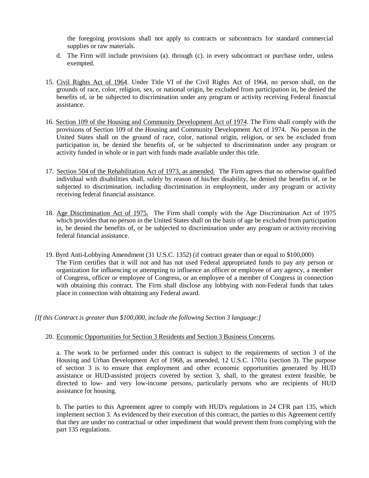the foregoing provisions shall not apply to contracts or subcontracts for standard commercial supplies or raw materials.

- d. The Firm will include provisions (a). through (c). in every subcontract or purchase order, unless exempted.
- 15. Civil Rights Act of 1964. Under Title VI of the Civil Rights Act of 1964, no person shall, on the grounds of race, color, religion, sex, or national origin, be excluded from participation in, be denied the benefits of, or be subjected to discrimination under any program or activity receiving Federal financial assistance.
- 16. Section 109 of the Housing and Community Development Act of 1974. The Firm shall comply with the provisions of Section 109 of the Housing and Community Development Act of 1974. No person in the United States shall on the ground of race, color, national origin, religion, or sex be excluded from participation in, be denied the benefits of, or be subjected to discrimination under any program or activity funded in whole or in part with funds made available under this title.
- 17. Section 504 of the Rehabilitation Act of 1973, as amended. The Firm agrees that no otherwise qualified individual with disabilities shall, solely by reason of his/her disability, be denied the benefits of, or be subjected to discrimination, including discrimination in employment, under any program or activity receiving federal financial assistance.
- 18. Age Discrimination Act of 1975. The Firm shall comply with the Age Discrimination Act of 1975 which provides that no person in the United States shall on the basis of age be excluded from participation in, be denied the benefits of, or be subjected to discrimination under any program or activity receiving federal financial assistance.
- 19. Byrd Anti-Lobbying Amendment (31 U.S.C. 1352) (if contract greater than or equal to \$100,000) The Firm certifies that it will not and has not used Federal appropriated funds to pay any person or organization for influencing or attempting to influence an officer or employee of any agency, a member of Congress, officer or employee of Congress, or an employee of a member of Congress in connection with obtaining this contract. The Firm shall disclose any lobbying with non-Federal funds that takes place in connection with obtaining any Federal award.

*[If this Contract is greater than \$100,000, include the following Section 3 language:]*

## 20. Economic Opportunities for Section 3 Residents and Section 3 Business Concerns.

a. The work to be performed under this contract is subject to the requirements of section 3 of the Housing and Urban Development Act of 1968, as amended, 12 U.S.C. 1701u (section 3). The purpose of section 3 is to ensure that employment and other economic opportunities generated by HUD assistance or HUD-assisted projects covered by section 3, shall, to the greatest extent feasible, be directed to low- and very low-income persons, particularly persons who are recipients of HUD assistance for housing.

b. The parties to this Agreement agree to comply with HUD's regulations in 24 CFR part 135, which implement section 3. As evidenced by their execution of this contract, the parties to this Agreement certify that they are under no contractual or other impediment that would prevent them from complying with the part 135 regulations.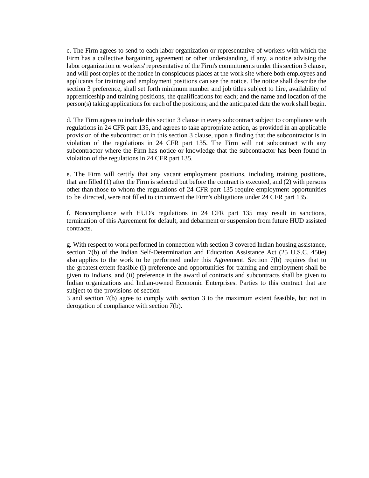c. The Firm agrees to send to each labor organization or representative of workers with which the Firm has a collective bargaining agreement or other understanding, if any, a notice advising the labor organization or workers' representative of the Firm's commitments under this section 3 clause, and will post copies of the notice in conspicuous places at the work site where both employees and applicants for training and employment positions can see the notice. The notice shall describe the section 3 preference, shall set forth minimum number and job titles subject to hire, availability of apprenticeship and training positions, the qualifications for each; and the name and location of the person(s) taking applications for each of the positions; and the anticipated date the work shall begin.

d. The Firm agrees to include this section 3 clause in every subcontract subject to compliance with regulations in 24 CFR part 135, and agrees to take appropriate action, as provided in an applicable provision of the subcontract or in this section 3 clause, upon a finding that the subcontractor is in violation of the regulations in 24 CFR part 135. The Firm will not subcontract with any subcontractor where the Firm has notice or knowledge that the subcontractor has been found in violation of the regulations in 24 CFR part 135.

e. The Firm will certify that any vacant employment positions, including training positions, that are filled (1) after the Firm is selected but before the contract is executed, and (2) with persons other than those to whom the regulations of 24 CFR part 135 require employment opportunities to be directed, were not filled to circumvent the Firm's obligations under 24 CFR part 135.

f. Noncompliance with HUD's regulations in 24 CFR part 135 may result in sanctions, termination of this Agreement for default, and debarment or suspension from future HUD assisted contracts.

g. With respect to work performed in connection with section 3 covered Indian housing assistance, section 7(b) of the Indian Self-Determination and Education Assistance Act (25 U.S.C. 450e) also applies to the work to be performed under this Agreement. Section 7(b) requires that to the greatest extent feasible (i) preference and opportunities for training and employment shall be given to Indians, and (ii) preference in the award of contracts and subcontracts shall be given to Indian organizations and Indian-owned Economic Enterprises. Parties to this contract that are subject to the provisions of section

3 and section 7(b) agree to comply with section 3 to the maximum extent feasible, but not in derogation of compliance with section 7(b).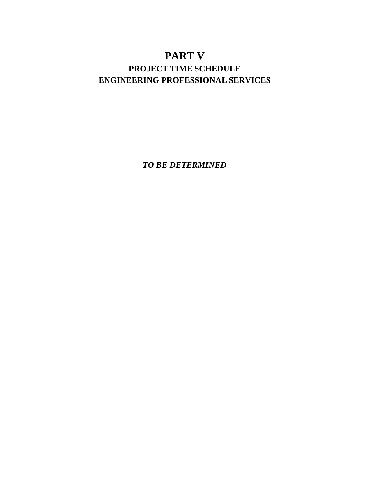## **PART V PROJECT TIME SCHEDULE ENGINEERING PROFESSIONAL SERVICES**

*TO BE DETERMINED*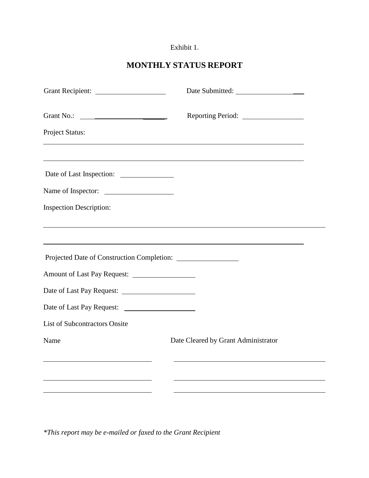## Exhibit 1.

## **MONTHLY STATUS REPORT**

| Project Status:                                      |                                                                                  |  |
|------------------------------------------------------|----------------------------------------------------------------------------------|--|
| Date of Last Inspection:                             | <u> 1989 - Johann Stoff, amerikansk politiker (d. 1989)</u>                      |  |
| Name of Inspector:<br><b>Inspection Description:</b> | ,我们也不会有什么。""我们的人,我们也不会有什么?""我们的人,我们也不会有什么?""我们的人,我们也不会有什么?""我们的人,我们也不会有什么?""我们的人 |  |
|                                                      | ,我们也不会有什么。""我们的人,我们也不会有什么?""我们的人,我们也不会有什么?""我们的人,我们也不会有什么?""我们的人,我们也不会有什么?""我们的人 |  |
|                                                      |                                                                                  |  |
| <b>List of Subcontractors Onsite</b><br>Name         | Date Cleared by Grant Administrator                                              |  |
|                                                      |                                                                                  |  |
|                                                      |                                                                                  |  |

*\*This report may be e-mailed or faxed to the Grant Recipient*